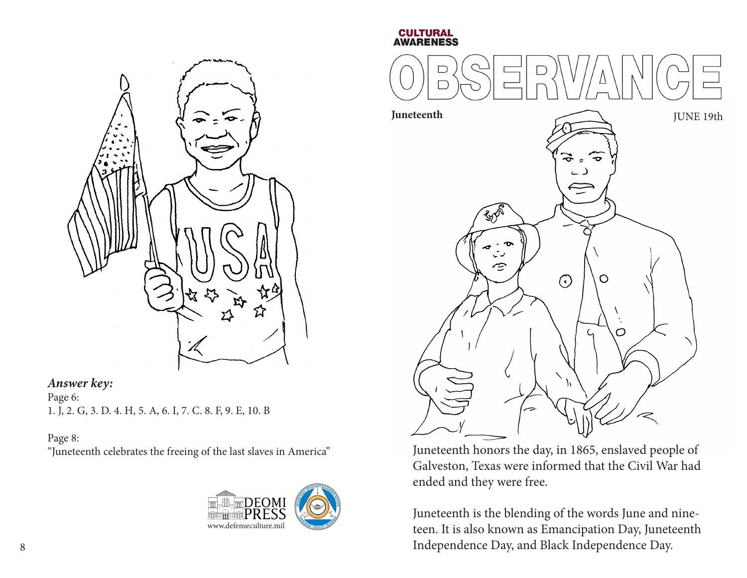

#### *Answer key:*

Page 6: 1. J, 2. G, 3. D. 4. H, 5. A, 6. I, 7. C. 8. F, 9. E, 10. B

#### Page 8:

"Juneteenth celebrates the freeing of the last slaves in America"



#### **CULTURAL AWARENESS**



Juneteenth honors the day, in 1865, enslaved people of Galveston, Texas were informed that the Civil War had ended and they were free.

Juneteenth is the blending of the words June and nineteen. It is also known as Emancipation Day, Juneteenth Independence Day, and Black Independence Day.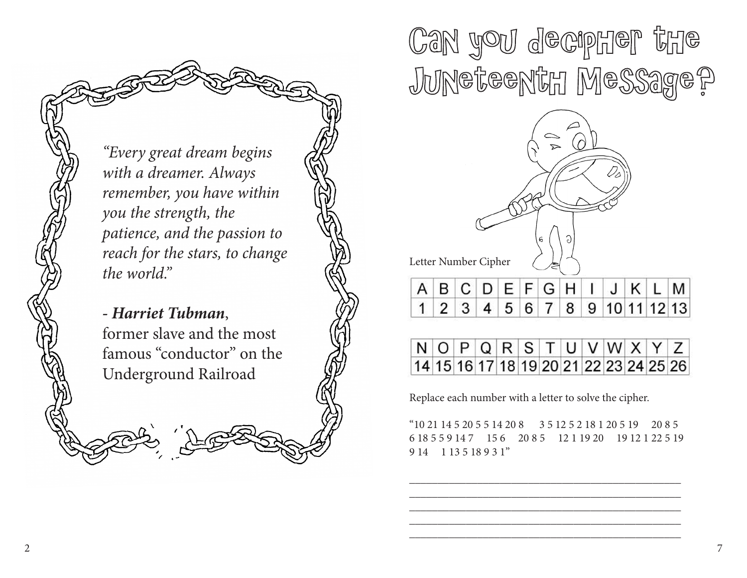*"Every great dream begins with a dreamer. Always remember, you have within you the strength, the patience, and the passion to reach for the stars, to change the world."*

*- Harriet Tubman*, former slave and the most famous "conductor" on the Underground Railroad

Can you decipher the Juneteenth Message?



|  |  |  |  |  |  | $N$ O PQRSTUVWXYZ                      |
|--|--|--|--|--|--|----------------------------------------|
|  |  |  |  |  |  | 14 15 16 17 18 19 20 21 22 23 24 25 26 |

Replace each number with a letter to solve the cipher.

"10 21 14 5 20 5 5 14 20 8 3 5 12 5 2 18 1 20 5 19 20 8 5 6 18 5 5 9 14 7 15 6 20 8 5 12 1 19 20 19 12 1 22 5 19 9 14 1 13 5 18 9 3 1"

\_\_\_\_\_\_\_\_\_\_\_\_\_\_\_\_\_\_\_\_\_\_\_\_\_\_\_\_\_\_\_\_\_\_\_\_\_\_\_\_\_\_\_\_\_\_\_\_ \_\_\_\_\_\_\_\_\_\_\_\_\_\_\_\_\_\_\_\_\_\_\_\_\_\_\_\_\_\_\_\_\_\_\_\_\_\_\_\_\_\_\_\_\_\_\_\_ \_\_\_\_\_\_\_\_\_\_\_\_\_\_\_\_\_\_\_\_\_\_\_\_\_\_\_\_\_\_\_\_\_\_\_\_\_\_\_\_\_\_\_\_\_\_\_\_ \_\_\_\_\_\_\_\_\_\_\_\_\_\_\_\_\_\_\_\_\_\_\_\_\_\_\_\_\_\_\_\_\_\_\_\_\_\_\_\_\_\_\_\_\_\_\_\_ \_\_\_\_\_\_\_\_\_\_\_\_\_\_\_\_\_\_\_\_\_\_\_\_\_\_\_\_\_\_\_\_\_\_\_\_\_\_\_\_\_\_\_\_\_\_\_\_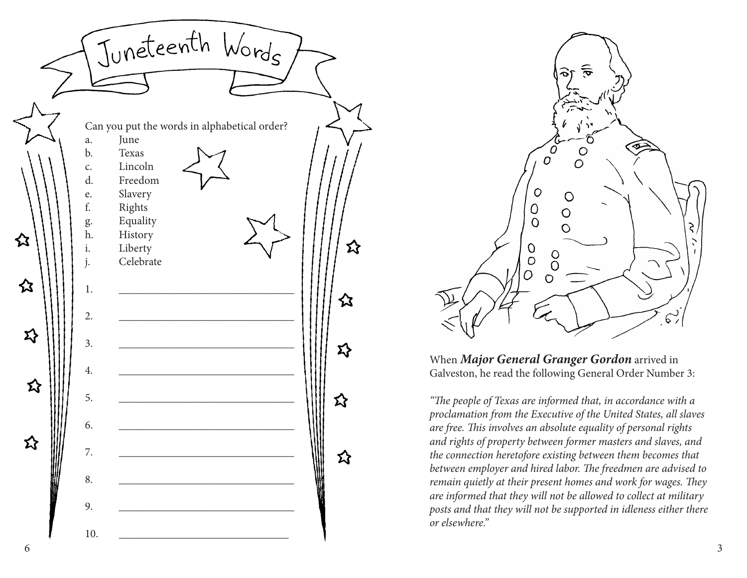



When *Major General Granger Gordon* arrived in Galveston, he read the following General Order Number 3:

*"The people of Texas are informed that, in accordance with a proclamation from the Executive of the United States, all slaves are free. This involves an absolute equality of personal rights and rights of property between former masters and slaves, and the connection heretofore existing between them becomes that between employer and hired labor. The freedmen are advised to remain quietly at their present homes and work for wages. They are informed that they will not be allowed to collect at military posts and that they will not be supported in idleness either there or elsewhere."*